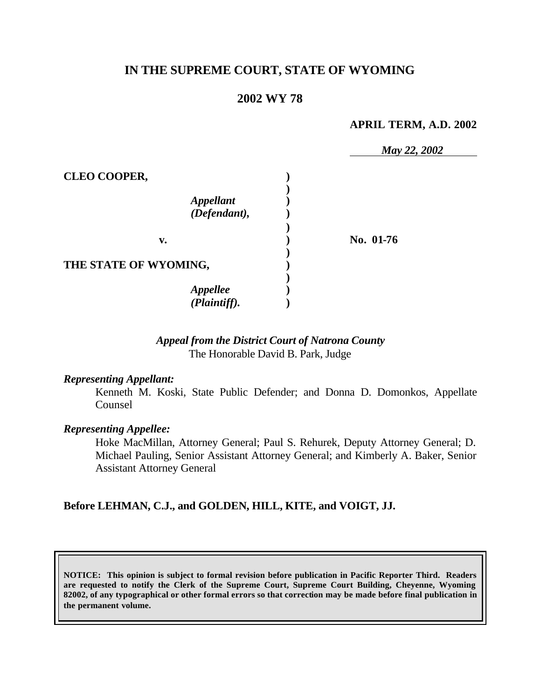# **IN THE SUPREME COURT, STATE OF WYOMING**

# **2002 WY 78**

#### **APRIL TERM, A.D. 2002**

|                                  | May 22, 2002 |  |
|----------------------------------|--------------|--|
| <b>CLEO COOPER,</b>              |              |  |
| <b>Appellant</b><br>(Defendant), |              |  |
| v.                               | No. 01-76    |  |
| THE STATE OF WYOMING,            |              |  |
| <b>Appellee</b><br>(Plaintiff).  |              |  |

## *Appeal from the District Court of Natrona County* The Honorable David B. Park, Judge

#### *Representing Appellant:*

Kenneth M. Koski, State Public Defender; and Donna D. Domonkos, Appellate Counsel

#### *Representing Appellee:*

Hoke MacMillan, Attorney General; Paul S. Rehurek, Deputy Attorney General; D. Michael Pauling, Senior Assistant Attorney General; and Kimberly A. Baker, Senior Assistant Attorney General

### **Before LEHMAN, C.J., and GOLDEN, HILL, KITE, and VOIGT, JJ.**

**NOTICE: This opinion is subject to formal revision before publication in Pacific Reporter Third. Readers are requested to notify the Clerk of the Supreme Court, Supreme Court Building, Cheyenne, Wyoming 82002, of any typographical or other formal errors so that correction may be made before final publication in the permanent volume.**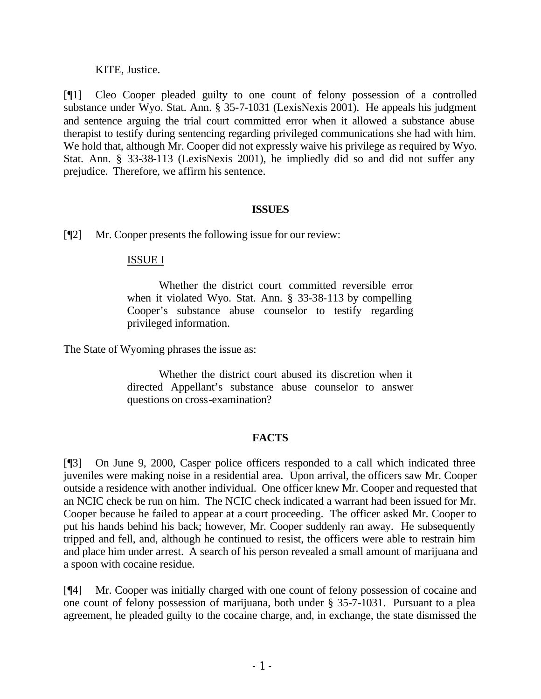### KITE, Justice.

[¶1] Cleo Cooper pleaded guilty to one count of felony possession of a controlled substance under Wyo. Stat. Ann. § 35-7-1031 (LexisNexis 2001). He appeals his judgment and sentence arguing the trial court committed error when it allowed a substance abuse therapist to testify during sentencing regarding privileged communications she had with him. We hold that, although Mr. Cooper did not expressly waive his privilege as required by Wyo. Stat. Ann. § 33-38-113 (LexisNexis 2001), he impliedly did so and did not suffer any prejudice. Therefore, we affirm his sentence.

### **ISSUES**

[¶2] Mr. Cooper presents the following issue for our review:

# ISSUE I

Whether the district court committed reversible error when it violated Wyo. Stat. Ann. § 33-38-113 by compelling Cooper's substance abuse counselor to testify regarding privileged information.

The State of Wyoming phrases the issue as:

Whether the district court abused its discretion when it directed Appellant's substance abuse counselor to answer questions on cross-examination?

# **FACTS**

[¶3] On June 9, 2000, Casper police officers responded to a call which indicated three juveniles were making noise in a residential area. Upon arrival, the officers saw Mr. Cooper outside a residence with another individual. One officer knew Mr. Cooper and requested that an NCIC check be run on him. The NCIC check indicated a warrant had been issued for Mr. Cooper because he failed to appear at a court proceeding. The officer asked Mr. Cooper to put his hands behind his back; however, Mr. Cooper suddenly ran away. He subsequently tripped and fell, and, although he continued to resist, the officers were able to restrain him and place him under arrest. A search of his person revealed a small amount of marijuana and a spoon with cocaine residue.

[¶4] Mr. Cooper was initially charged with one count of felony possession of cocaine and one count of felony possession of marijuana, both under § 35-7-1031. Pursuant to a plea agreement, he pleaded guilty to the cocaine charge, and, in exchange, the state dismissed the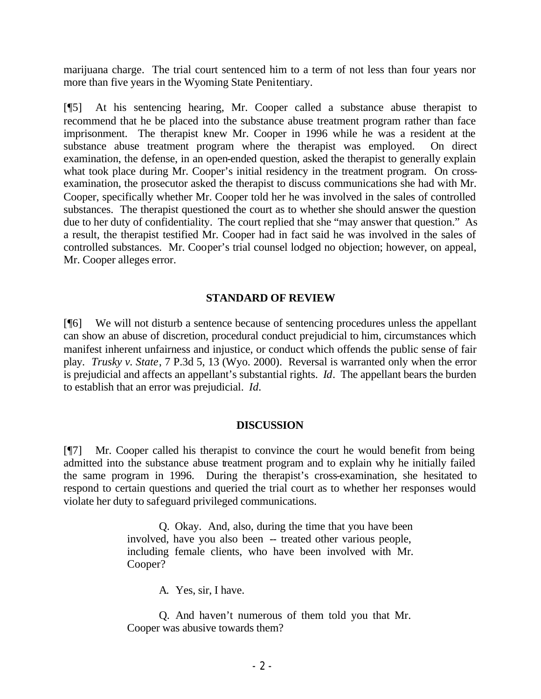marijuana charge. The trial court sentenced him to a term of not less than four years nor more than five years in the Wyoming State Penitentiary.

[¶5] At his sentencing hearing, Mr. Cooper called a substance abuse therapist to recommend that he be placed into the substance abuse treatment program rather than face imprisonment. The therapist knew Mr. Cooper in 1996 while he was a resident at the substance abuse treatment program where the therapist was employed. On direct examination, the defense, in an open-ended question, asked the therapist to generally explain what took place during Mr. Cooper's initial residency in the treatment program. On crossexamination, the prosecutor asked the therapist to discuss communications she had with Mr. Cooper, specifically whether Mr. Cooper told her he was involved in the sales of controlled substances. The therapist questioned the court as to whether she should answer the question due to her duty of confidentiality. The court replied that she "may answer that question." As a result, the therapist testified Mr. Cooper had in fact said he was involved in the sales of controlled substances. Mr. Cooper's trial counsel lodged no objection; however, on appeal, Mr. Cooper alleges error.

## **STANDARD OF REVIEW**

[¶6] We will not disturb a sentence because of sentencing procedures unless the appellant can show an abuse of discretion, procedural conduct prejudicial to him, circumstances which manifest inherent unfairness and injustice, or conduct which offends the public sense of fair play. *Trusky v. State*, 7 P.3d 5, 13 (Wyo. 2000). Reversal is warranted only when the error is prejudicial and affects an appellant's substantial rights. *Id*. The appellant bears the burden to establish that an error was prejudicial. *Id.*

### **DISCUSSION**

[¶7] Mr. Cooper called his therapist to convince the court he would benefit from being admitted into the substance abuse treatment program and to explain why he initially failed the same program in 1996. During the therapist's cross-examination, she hesitated to respond to certain questions and queried the trial court as to whether her responses would violate her duty to safeguard privileged communications.

> Q. Okay. And, also, during the time that you have been involved, have you also been -- treated other various people, including female clients, who have been involved with Mr. Cooper?

> > A. Yes, sir, I have.

Q. And haven't numerous of them told you that Mr. Cooper was abusive towards them?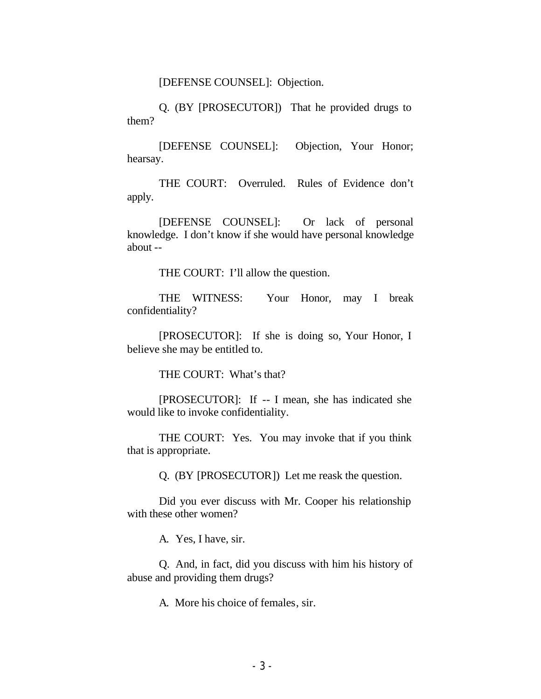[DEFENSE COUNSEL]: Objection.

Q. (BY [PROSECUTOR]) That he provided drugs to them?

[DEFENSE COUNSEL]: Objection, Your Honor; hearsay.

THE COURT: Overruled. Rules of Evidence don't apply.

[DEFENSE COUNSEL]: Or lack of personal knowledge. I don't know if she would have personal knowledge about --

THE COURT: I'll allow the question.

THE WITNESS: Your Honor, may I break confidentiality?

[PROSECUTOR]: If she is doing so, Your Honor, I believe she may be entitled to.

THE COURT: What's that?

[PROSECUTOR]: If -- I mean, she has indicated she would like to invoke confidentiality.

THE COURT: Yes. You may invoke that if you think that is appropriate.

Q. (BY [PROSECUTOR]) Let me reask the question.

Did you ever discuss with Mr. Cooper his relationship with these other women?

A. Yes, I have, sir.

Q. And, in fact, did you discuss with him his history of abuse and providing them drugs?

A. More his choice of females, sir.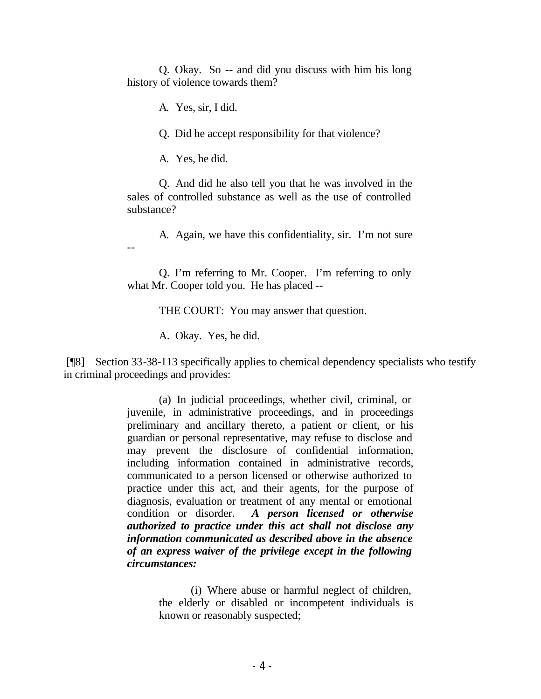Q. Okay. So -- and did you discuss with him his long history of violence towards them?

A. Yes, sir, I did.

Q. Did he accept responsibility for that violence?

A. Yes, he did.

--

Q. And did he also tell you that he was involved in the sales of controlled substance as well as the use of controlled substance?

A. Again, we have this confidentiality, sir. I'm not sure

Q. I'm referring to Mr. Cooper. I'm referring to only what Mr. Cooper told you. He has placed --

THE COURT: You may answer that question.

A. Okay. Yes, he did.

 [¶8] Section 33-38-113 specifically applies to chemical dependency specialists who testify in criminal proceedings and provides:

> (a) In judicial proceedings, whether civil, criminal, or juvenile, in administrative proceedings, and in proceedings preliminary and ancillary thereto, a patient or client, or his guardian or personal representative, may refuse to disclose and may prevent the disclosure of confidential information, including information contained in administrative records, communicated to a person licensed or otherwise authorized to practice under this act, and their agents, for the purpose of diagnosis, evaluation or treatment of any mental or emotional condition or disorder. *A person licensed or otherwise authorized to practice under this act shall not disclose any information communicated as described above in the absence of an express waiver of the privilege except in the following circumstances:*

> > (i) Where abuse or harmful neglect of children, the elderly or disabled or incompetent individuals is known or reasonably suspected;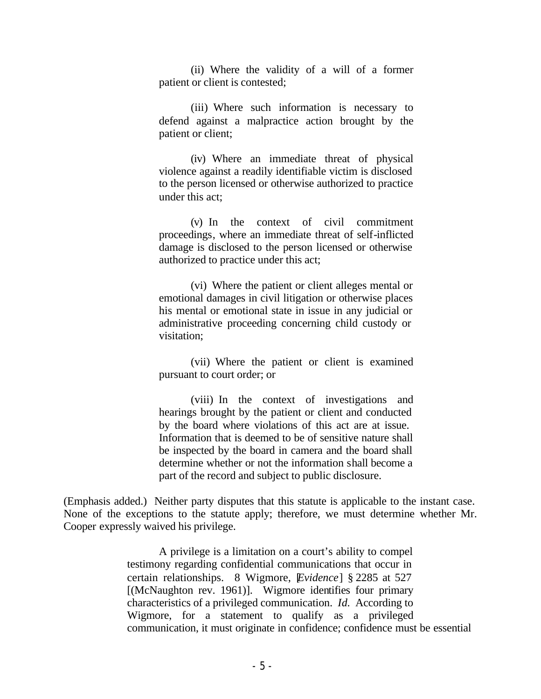(ii) Where the validity of a will of a former patient or client is contested;

(iii) Where such information is necessary to defend against a malpractice action brought by the patient or client;

(iv) Where an immediate threat of physical violence against a readily identifiable victim is disclosed to the person licensed or otherwise authorized to practice under this act;

(v) In the context of civil commitment proceedings, where an immediate threat of self-inflicted damage is disclosed to the person licensed or otherwise authorized to practice under this act;

(vi) Where the patient or client alleges mental or emotional damages in civil litigation or otherwise places his mental or emotional state in issue in any judicial or administrative proceeding concerning child custody or visitation;

(vii) Where the patient or client is examined pursuant to court order; or

(viii) In the context of investigations and hearings brought by the patient or client and conducted by the board where violations of this act are at issue. Information that is deemed to be of sensitive nature shall be inspected by the board in camera and the board shall determine whether or not the information shall become a part of the record and subject to public disclosure.

(Emphasis added.) Neither party disputes that this statute is applicable to the instant case. None of the exceptions to the statute apply; therefore, we must determine whether Mr. Cooper expressly waived his privilege.

> A privilege is a limitation on a court's ability to compel testimony regarding confidential communications that occur in certain relationships. 8 Wigmore, [*Evidence*] § 2285 at 527 [(McNaughton rev. 1961)]. Wigmore identifies four primary characteristics of a privileged communication. *Id.* According to Wigmore, for a statement to qualify as a privileged communication, it must originate in confidence; confidence must be essential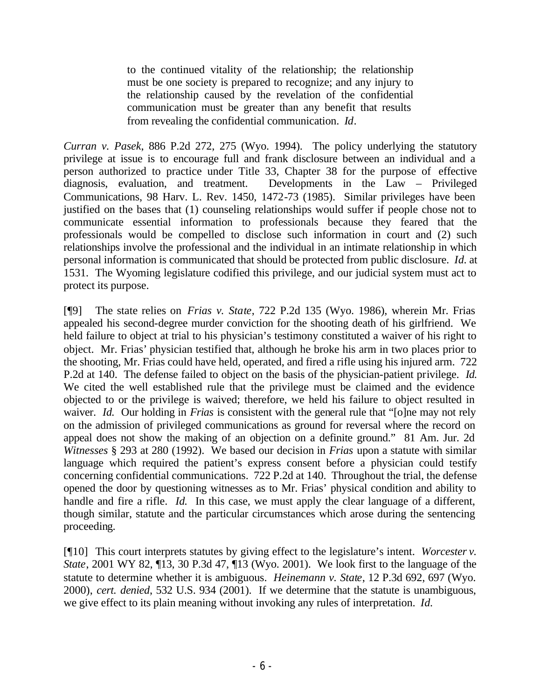to the continued vitality of the relationship; the relationship must be one society is prepared to recognize; and any injury to the relationship caused by the revelation of the confidential communication must be greater than any benefit that results from revealing the confidential communication. *Id*.

*Curran v. Pasek*, 886 P.2d 272, 275 (Wyo. 1994). The policy underlying the statutory privilege at issue is to encourage full and frank disclosure between an individual and a person authorized to practice under Title 33, Chapter 38 for the purpose of effective diagnosis, evaluation, and treatment. Developments in the Law – Privileged Communications, 98 Harv. L. Rev. 1450, 1472-73 (1985). Similar privileges have been justified on the bases that (1) counseling relationships would suffer if people chose not to communicate essential information to professionals because they feared that the professionals would be compelled to disclose such information in court and (2) such relationships involve the professional and the individual in an intimate relationship in which personal information is communicated that should be protected from public disclosure. *Id.* at 1531. The Wyoming legislature codified this privilege, and our judicial system must act to protect its purpose.

[¶9] The state relies on *Frias v. State*, 722 P.2d 135 (Wyo. 1986), wherein Mr. Frias appealed his second-degree murder conviction for the shooting death of his girlfriend. We held failure to object at trial to his physician's testimony constituted a waiver of his right to object. Mr. Frias' physician testified that, although he broke his arm in two places prior to the shooting, Mr. Frias could have held, operated, and fired a rifle using his injured arm. 722 P.2d at 140. The defense failed to object on the basis of the physician-patient privilege. *Id.*  We cited the well established rule that the privilege must be claimed and the evidence objected to or the privilege is waived; therefore, we held his failure to object resulted in waiver. *Id.* Our holding in *Frias* is consistent with the general rule that "[o]ne may not rely on the admission of privileged communications as ground for reversal where the record on appeal does not show the making of an objection on a definite ground." 81 Am. Jur. 2d *Witnesses* § 293 at 280 (1992). We based our decision in *Frias* upon a statute with similar language which required the patient's express consent before a physician could testify concerning confidential communications. 722 P.2d at 140. Throughout the trial, the defense opened the door by questioning witnesses as to Mr. Frias' physical condition and ability to handle and fire a rifle. *Id.* In this case, we must apply the clear language of a different, though similar, statute and the particular circumstances which arose during the sentencing proceeding.

[¶10] This court interprets statutes by giving effect to the legislature's intent. *Worcester v. State*, 2001 WY 82, ¶13, 30 P.3d 47, ¶13 (Wyo. 2001). We look first to the language of the statute to determine whether it is ambiguous. *Heinemann v. State*, 12 P.3d 692, 697 (Wyo. 2000), *cert. denied*, 532 U.S. 934 (2001). If we determine that the statute is unambiguous, we give effect to its plain meaning without invoking any rules of interpretation. *Id.*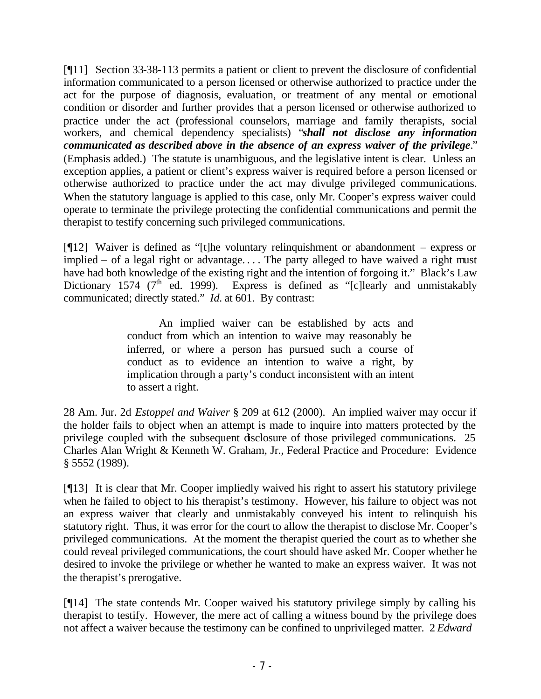[¶11] Section 33-38-113 permits a patient or client to prevent the disclosure of confidential information communicated to a person licensed or otherwise authorized to practice under the act for the purpose of diagnosis, evaluation, or treatment of any mental or emotional condition or disorder and further provides that a person licensed or otherwise authorized to practice under the act (professional counselors, marriage and family therapists, social workers, and chemical dependency specialists) "*shall not disclose any information communicated as described above in the absence of an express waiver of the privilege*." (Emphasis added.) The statute is unambiguous, and the legislative intent is clear. Unless an exception applies, a patient or client's express waiver is required before a person licensed or otherwise authorized to practice under the act may divulge privileged communications. When the statutory language is applied to this case, only Mr. Cooper's express waiver could operate to terminate the privilege protecting the confidential communications and permit the therapist to testify concerning such privileged communications.

[¶12] Waiver is defined as "[t]he voluntary relinquishment or abandonment – express or implied – of a legal right or advantage. . . . The party alleged to have waived a right must have had both knowledge of the existing right and the intention of forgoing it." Black's Law Dictionary 1574 ( $7<sup>th</sup>$  ed. 1999). Express is defined as "[c]learly and unmistakably communicated; directly stated." *Id.* at 601. By contrast:

> An implied waiver can be established by acts and conduct from which an intention to waive may reasonably be inferred, or where a person has pursued such a course of conduct as to evidence an intention to waive a right, by implication through a party's conduct inconsistent with an intent to assert a right.

28 Am. Jur. 2d *Estoppel and Waiver* § 209 at 612 (2000). An implied waiver may occur if the holder fails to object when an attempt is made to inquire into matters protected by the privilege coupled with the subsequent disclosure of those privileged communications. 25 Charles Alan Wright & Kenneth W. Graham, Jr., Federal Practice and Procedure: Evidence § 5552 (1989).

[¶13] It is clear that Mr. Cooper impliedly waived his right to assert his statutory privilege when he failed to object to his therapist's testimony. However, his failure to object was not an express waiver that clearly and unmistakably conveyed his intent to relinquish his statutory right. Thus, it was error for the court to allow the therapist to disclose Mr. Cooper's privileged communications. At the moment the therapist queried the court as to whether she could reveal privileged communications, the court should have asked Mr. Cooper whether he desired to invoke the privilege or whether he wanted to make an express waiver. It was not the therapist's prerogative.

[¶14] The state contends Mr. Cooper waived his statutory privilege simply by calling his therapist to testify. However, the mere act of calling a witness bound by the privilege does not affect a waiver because the testimony can be confined to unprivileged matter. 2 *Edward*